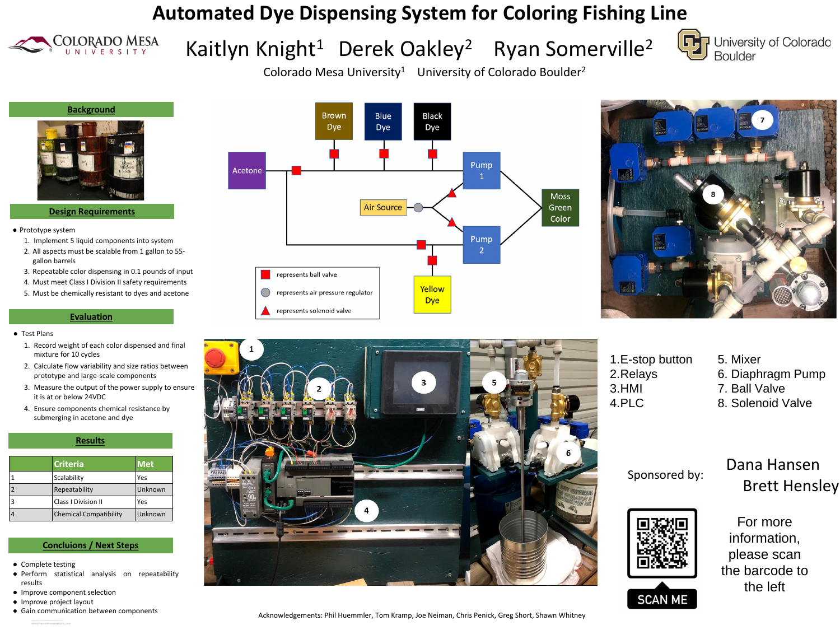**www.PosterPresentations.com**

- Complete testing
- Perform statistical analysis on repeatability results
- Improve component selection
- Improve project layout

**RESEARCH POSTER PRESENTATION DESIGN © 2019** ● Gain communication between components



**Design Requirements**

# Kaitlyn Knight<sup>1</sup> Derek Oakley<sup>2</sup> Ryan Somerville<sup>2</sup> **Automated Dye Dispensing System for Coloring Fishing Line**



- Prototype system
	- 1. Implement 5 liquid components into system
	- 2. All aspects must be scalable from 1 gallon to 55 gallon barrels
	- 3. Repeatable color dispensing in 0.1 pounds of input
	- 4. Must meet Class I Division II safety requirements
	- 5. Must be chemically resistant to dyes and acetone

### **Evaluation**

#### **Results**

## Brett Hensley Dana Hansen



#### **Concluions / Next Steps**

#### ● Test Plans

- 1. Record weight of each color dispensed and final mixture for 10 cycles
- 2. Calculate flow variability and size ratios between prototype and large-scale components
- 3. Measure the output of the power supply to ensure it is at or below 24VDC
- 4. Ensure components chemical resistance by submerging in acetone and dye

| Criteria                      | Met     |
|-------------------------------|---------|
| Scalability                   | Yes     |
| Repeatability                 | Unknown |
| <b>Class I Division II</b>    | Yes     |
| <b>Chemical Compatibility</b> | Unknown |



Colorado Mesa University<sup>1</sup> University of Colorado Boulder<sup>2</sup>





information, please scan the barcode to the left

### Sponsored by:

1.E-stop button 2.Relays 3.HMI 4.PLC





- 5. Mixer
- 6. Diaphragm Pump
- 7. Ball Valve
- 8. Solenoid Valve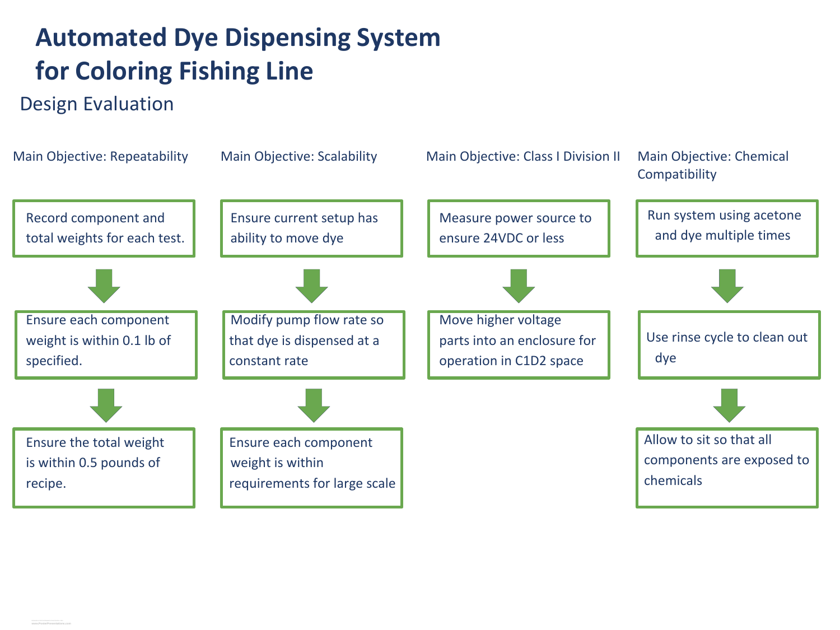# Design Evaluation **Automated Dye Dispensing System for Coloring Fishing Line**

## Main Objective: Repeatability

Record component and total weights for each test.



Ensure each component weight is within 0.1 lb of specified.



Ensure the total weight is within 0.5 pounds of recipe.

Main Objective: Scalability

Ensure current setup has ability to move dye

Modify pump flow rate so that dye is dispensed at a constant rate

Ensure each component weight is within requirements for large scale



## Main Objective: Class I Division II

Measure power source to ensure 24VDC or less



Move higher voltage parts into an enclosure for operation in C1D2 space









### Main Objective: Chemical Compatibility

Run system using acetone and dye multiple times





Allow to sit so that all components are exposed to chemicals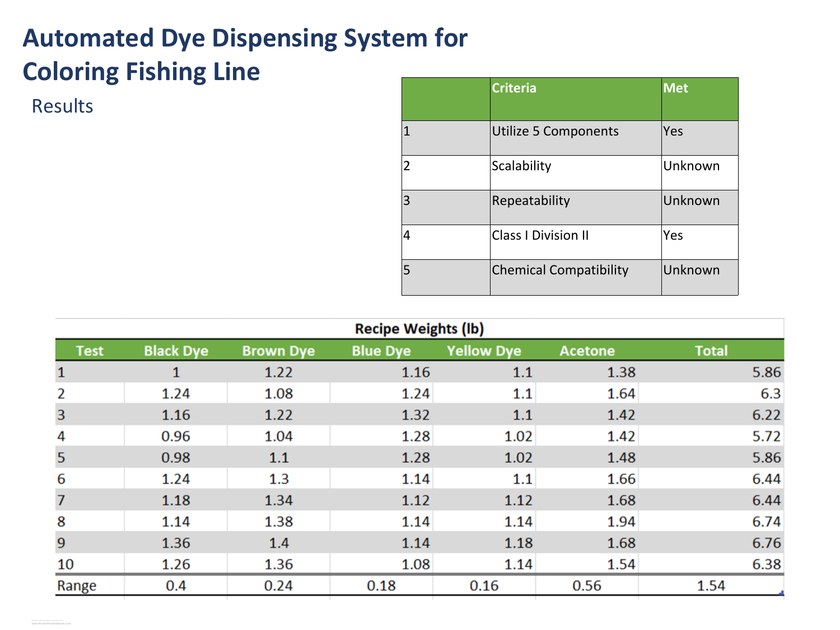| $\overline{\phantom{a}}$<br>$\overline{\phantom{a}}$ |  |
|------------------------------------------------------|--|
| $\overline{\mathbf{2}}$                              |  |
| 3                                                    |  |
| 4                                                    |  |
| 5                                                    |  |



# Results **Automated Dye Dispensing System for Coloring Fishing Line**

| <b>Recipe Weights (Ib)</b> |                  |                  |                 |                   |         |       |
|----------------------------|------------------|------------------|-----------------|-------------------|---------|-------|
| Test                       | <b>Black Dye</b> | <b>Brown Dye</b> | <b>Blue Dye</b> | <b>Yellow Dye</b> | Acetone | Total |
|                            |                  | 1.22             | 1.16            | $1.1\,$           | 1.38    | 5.86  |
|                            | 1.24             | 1.08             | 1.24            | $1.1\,$           | 1.64    | 6.3   |
| 3                          | 1.16             | 1.22             | 1.32            | $1.1\,$           | 1.42    | 6.22  |
| 4                          | 0.96             | 1.04             | 1.28            | 1.02              | 1.42    | 5.72  |
| 5                          | 0.98             | $1.1\,$          | 1.28            | 1.02              | 1.48    | 5.86  |
| 6                          | 1.24             | 1.3              | 1.14            | $1.1\,$           | 1.66    | 6.44  |
| 7                          | 1.18             | 1.34             | 1.12            | 1.12              | 1.68    | 6.44  |
| 8                          | 1.14             | 1.38             | 1.14            | 1.14              | 1.94    | 6.74  |
| 9                          | 1.36             |                  |                 | 1.18              | 1.68    | 6.76  |
| 10                         | 1.26             | 1.36             | 1.08            | 1.14              | 1.54    | 6.38  |
| Range                      | 0.4              | 0.24             | 0.18            | 0.16              | 0.56    | 1.54  |

| Criteria                   | <b>Met</b> |
|----------------------------|------------|
| Utilize 5 Components       | Yes        |
| Scalability                | Unknown    |
| Repeatability              | Unknown    |
| <b>Class   Division II</b> | Yes        |
| Chemical Compatibility     | Unknown    |

| <b>Met</b> |
|------------|
| Yes        |
| Unknown    |
| Unknown    |
| Yes        |
| Unknown    |